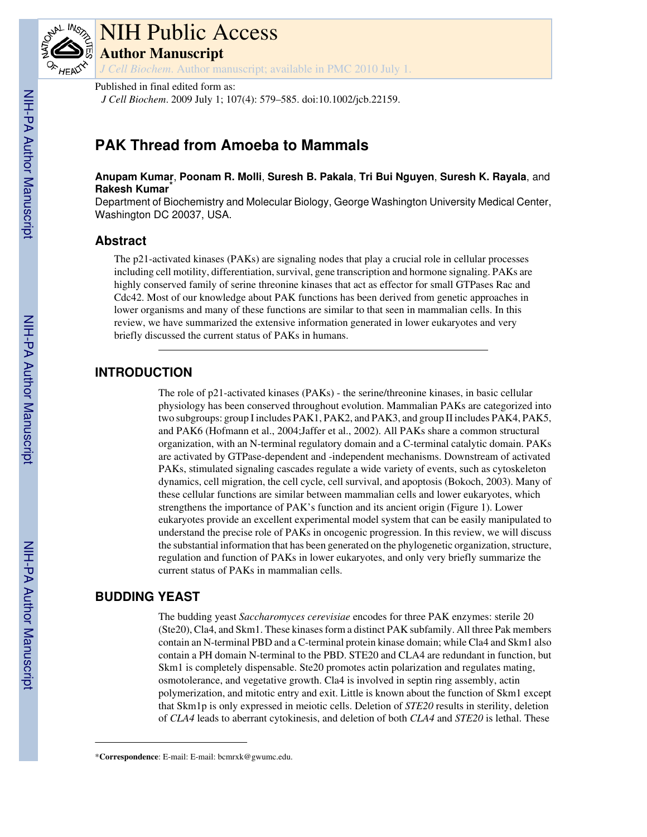

# NIH Public Access **Author Manuscript**

*J Cell Biochem*. Author manuscript; available in PMC 2010 July 1.

Published in final edited form as:

*J Cell Biochem*. 2009 July 1; 107(4): 579–585. doi:10.1002/jcb.22159.

# **PAK Thread from Amoeba to Mammals**

**Anupam Kumar**, **Poonam R. Molli**, **Suresh B. Pakala**, **Tri Bui Nguyen**, **Suresh K. Rayala**, and **Rakesh Kumar**\*

Department of Biochemistry and Molecular Biology, George Washington University Medical Center, Washington DC 20037, USA.

# **Abstract**

The p21-activated kinases (PAKs) are signaling nodes that play a crucial role in cellular processes including cell motility, differentiation, survival, gene transcription and hormone signaling. PAKs are highly conserved family of serine threonine kinases that act as effector for small GTPases Rac and Cdc42. Most of our knowledge about PAK functions has been derived from genetic approaches in lower organisms and many of these functions are similar to that seen in mammalian cells. In this review, we have summarized the extensive information generated in lower eukaryotes and very briefly discussed the current status of PAKs in humans.

# **INTRODUCTION**

The role of p21-activated kinases (PAKs) - the serine/threonine kinases, in basic cellular physiology has been conserved throughout evolution. Mammalian PAKs are categorized into two subgroups: group I includes PAK1, PAK2, and PAK3, and group II includes PAK4, PAK5, and PAK6 (Hofmann et al., 2004;Jaffer et al., 2002). All PAKs share a common structural organization, with an N-terminal regulatory domain and a C-terminal catalytic domain. PAKs are activated by GTPase-dependent and -independent mechanisms. Downstream of activated PAKs, stimulated signaling cascades regulate a wide variety of events, such as cytoskeleton dynamics, cell migration, the cell cycle, cell survival, and apoptosis (Bokoch, 2003). Many of these cellular functions are similar between mammalian cells and lower eukaryotes, which strengthens the importance of PAK's function and its ancient origin (Figure 1). Lower eukaryotes provide an excellent experimental model system that can be easily manipulated to understand the precise role of PAKs in oncogenic progression. In this review, we will discuss the substantial information that has been generated on the phylogenetic organization, structure, regulation and function of PAKs in lower eukaryotes, and only very briefly summarize the current status of PAKs in mammalian cells.

# **BUDDING YEAST**

The budding yeast *Saccharomyces cerevisiae* encodes for three PAK enzymes: sterile 20 (Ste20), Cla4, and Skm1. These kinases form a distinct PAK subfamily. All three Pak members contain an N-terminal PBD and a C-terminal protein kinase domain; while Cla4 and Skm1 also contain a PH domain N-terminal to the PBD. STE20 and CLA4 are redundant in function, but Skm1 is completely dispensable. Ste20 promotes actin polarization and regulates mating, osmotolerance, and vegetative growth. Cla4 is involved in septin ring assembly, actin polymerization, and mitotic entry and exit. Little is known about the function of Skm1 except that Skm1p is only expressed in meiotic cells. Deletion of *STE20* results in sterility, deletion of *CLA4* leads to aberrant cytokinesis, and deletion of both *CLA4* and *STE20* is lethal. These

<sup>\*</sup>**Correspondence**: E-mail: E-mail: bcmrxk@gwumc.edu.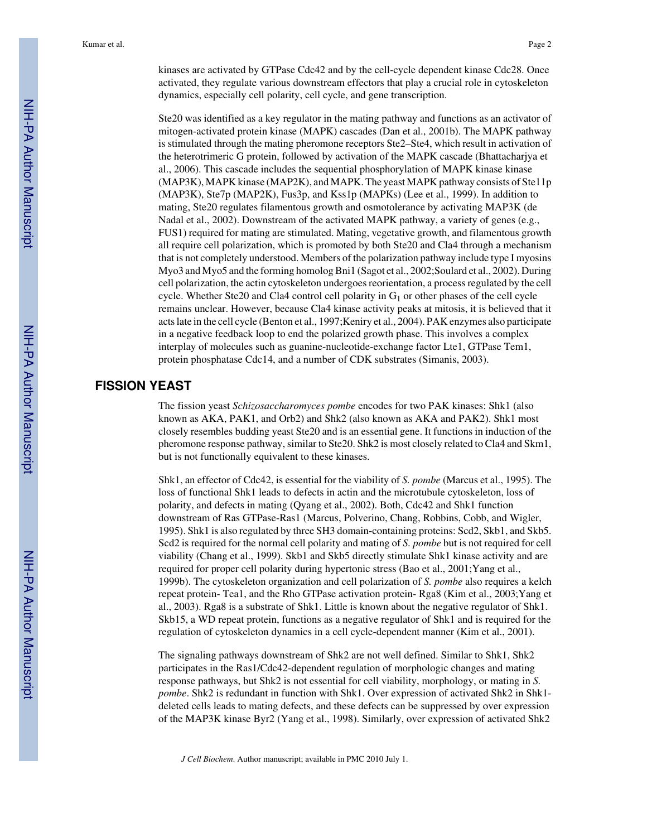kinases are activated by GTPase Cdc42 and by the cell-cycle dependent kinase Cdc28. Once activated, they regulate various downstream effectors that play a crucial role in cytoskeleton dynamics, especially cell polarity, cell cycle, and gene transcription.

Ste20 was identified as a key regulator in the mating pathway and functions as an activator of mitogen-activated protein kinase (MAPK) cascades (Dan et al., 2001b). The MAPK pathway is stimulated through the mating pheromone receptors Ste2–Ste4, which result in activation of the heterotrimeric G protein, followed by activation of the MAPK cascade (Bhattacharjya et al., 2006). This cascade includes the sequential phosphorylation of MAPK kinase kinase (MAP3K), MAPK kinase (MAP2K), and MAPK. The yeast MAPK pathway consists of Ste11p (MAP3K), Ste7p (MAP2K), Fus3p, and Kss1p (MAPKs) (Lee et al., 1999). In addition to mating, Ste20 regulates filamentous growth and osmotolerance by activating MAP3K (de Nadal et al., 2002). Downstream of the activated MAPK pathway, a variety of genes (e.g., FUS1) required for mating are stimulated. Mating, vegetative growth, and filamentous growth all require cell polarization, which is promoted by both Ste20 and Cla4 through a mechanism that is not completely understood. Members of the polarization pathway include type I myosins Myo3 and Myo5 and the forming homolog Bni1 (Sagot et al., 2002;Soulard et al., 2002). During cell polarization, the actin cytoskeleton undergoes reorientation, a process regulated by the cell cycle. Whether Ste20 and Cla4 control cell polarity in  $G_1$  or other phases of the cell cycle remains unclear. However, because Cla4 kinase activity peaks at mitosis, it is believed that it acts late in the cell cycle (Benton et al., 1997;Keniry et al., 2004). PAK enzymes also participate in a negative feedback loop to end the polarized growth phase. This involves a complex interplay of molecules such as guanine-nucleotide-exchange factor Lte1, GTPase Tem1, protein phosphatase Cdc14, and a number of CDK substrates (Simanis, 2003).

## **FISSION YEAST**

The fission yeast *Schizosaccharomyces pombe* encodes for two PAK kinases: Shk1 (also known as AKA, PAK1, and Orb2) and Shk2 (also known as AKA and PAK2). Shk1 most closely resembles budding yeast Ste20 and is an essential gene. It functions in induction of the pheromone response pathway, similar to Ste20. Shk2 is most closely related to Cla4 and Skm1, but is not functionally equivalent to these kinases.

Shk1, an effector of Cdc42, is essential for the viability of *S. pombe* (Marcus et al., 1995). The loss of functional Shk1 leads to defects in actin and the microtubule cytoskeleton, loss of polarity, and defects in mating (Qyang et al., 2002). Both, Cdc42 and Shk1 function downstream of Ras GTPase-Ras1 (Marcus, Polverino, Chang, Robbins, Cobb, and Wigler, 1995). Shk1 is also regulated by three SH3 domain-containing proteins: Scd2, Skb1, and Skb5. Scd2 is required for the normal cell polarity and mating of *S. pombe* but is not required for cell viability (Chang et al., 1999). Skb1 and Skb5 directly stimulate Shk1 kinase activity and are required for proper cell polarity during hypertonic stress (Bao et al., 2001;Yang et al., 1999b). The cytoskeleton organization and cell polarization of *S. pombe* also requires a kelch repeat protein- Tea1, and the Rho GTPase activation protein- Rga8 (Kim et al., 2003;Yang et al., 2003). Rga8 is a substrate of Shk1. Little is known about the negative regulator of Shk1. Skb15, a WD repeat protein, functions as a negative regulator of Shk1 and is required for the regulation of cytoskeleton dynamics in a cell cycle-dependent manner (Kim et al., 2001).

The signaling pathways downstream of Shk2 are not well defined. Similar to Shk1, Shk2 participates in the Ras1/Cdc42-dependent regulation of morphologic changes and mating response pathways, but Shk2 is not essential for cell viability, morphology, or mating in *S. pombe*. Shk2 is redundant in function with Shk1. Over expression of activated Shk2 in Shk1 deleted cells leads to mating defects, and these defects can be suppressed by over expression of the MAP3K kinase Byr2 (Yang et al., 1998). Similarly, over expression of activated Shk2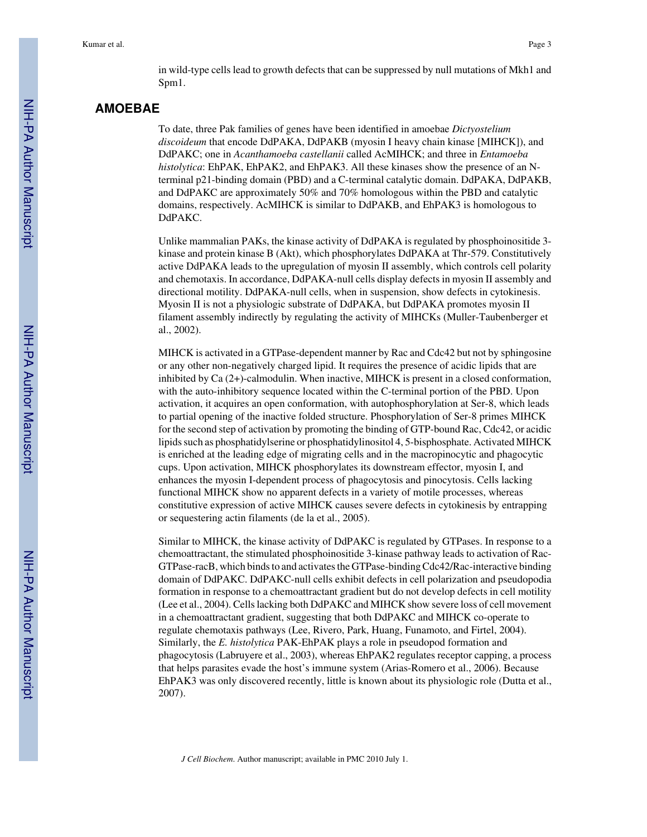in wild-type cells lead to growth defects that can be suppressed by null mutations of Mkh1 and Spm1.

#### **AMOEBAE**

To date, three Pak families of genes have been identified in amoebae *Dictyostelium discoideum* that encode DdPAKA, DdPAKB (myosin I heavy chain kinase [MIHCK]), and DdPAKC; one in *Acanthamoeba castellanii* called AcMIHCK; and three in *Entamoeba histolytica*: EhPAK, EhPAK2, and EhPAK3. All these kinases show the presence of an Nterminal p21-binding domain (PBD) and a C-terminal catalytic domain. DdPAKA, DdPAKB, and DdPAKC are approximately 50% and 70% homologous within the PBD and catalytic domains, respectively. AcMIHCK is similar to DdPAKB, and EhPAK3 is homologous to DdPAKC.

Unlike mammalian PAKs, the kinase activity of DdPAKA is regulated by phosphoinositide 3 kinase and protein kinase B (Akt), which phosphorylates DdPAKA at Thr-579. Constitutively active DdPAKA leads to the upregulation of myosin II assembly, which controls cell polarity and chemotaxis. In accordance, DdPAKA-null cells display defects in myosin II assembly and directional motility. DdPAKA-null cells, when in suspension, show defects in cytokinesis. Myosin II is not a physiologic substrate of DdPAKA, but DdPAKA promotes myosin II filament assembly indirectly by regulating the activity of MIHCKs (Muller-Taubenberger et al., 2002).

MIHCK is activated in a GTPase-dependent manner by Rac and Cdc42 but not by sphingosine or any other non-negatively charged lipid. It requires the presence of acidic lipids that are inhibited by Ca (2+)-calmodulin. When inactive, MIHCK is present in a closed conformation, with the auto-inhibitory sequence located within the C-terminal portion of the PBD. Upon activation, it acquires an open conformation, with autophosphorylation at Ser-8, which leads to partial opening of the inactive folded structure. Phosphorylation of Ser-8 primes MIHCK for the second step of activation by promoting the binding of GTP-bound Rac, Cdc42, or acidic lipids such as phosphatidylserine or phosphatidylinositol 4, 5-bisphosphate. Activated MIHCK is enriched at the leading edge of migrating cells and in the macropinocytic and phagocytic cups. Upon activation, MIHCK phosphorylates its downstream effector, myosin I, and enhances the myosin I-dependent process of phagocytosis and pinocytosis. Cells lacking functional MIHCK show no apparent defects in a variety of motile processes, whereas constitutive expression of active MIHCK causes severe defects in cytokinesis by entrapping or sequestering actin filaments (de la et al., 2005).

Similar to MIHCK, the kinase activity of DdPAKC is regulated by GTPases. In response to a chemoattractant, the stimulated phosphoinositide 3-kinase pathway leads to activation of Rac-GTPase-racB, which binds to and activates the GTPase-binding Cdc42/Rac-interactive binding domain of DdPAKC. DdPAKC-null cells exhibit defects in cell polarization and pseudopodia formation in response to a chemoattractant gradient but do not develop defects in cell motility (Lee et al., 2004). Cells lacking both DdPAKC and MIHCK show severe loss of cell movement in a chemoattractant gradient, suggesting that both DdPAKC and MIHCK co-operate to regulate chemotaxis pathways (Lee, Rivero, Park, Huang, Funamoto, and Firtel, 2004). Similarly, the *E. histolytica* PAK-EhPAK plays a role in pseudopod formation and phagocytosis (Labruyere et al., 2003), whereas EhPAK2 regulates receptor capping, a process that helps parasites evade the host's immune system (Arias-Romero et al., 2006). Because EhPAK3 was only discovered recently, little is known about its physiologic role (Dutta et al., 2007).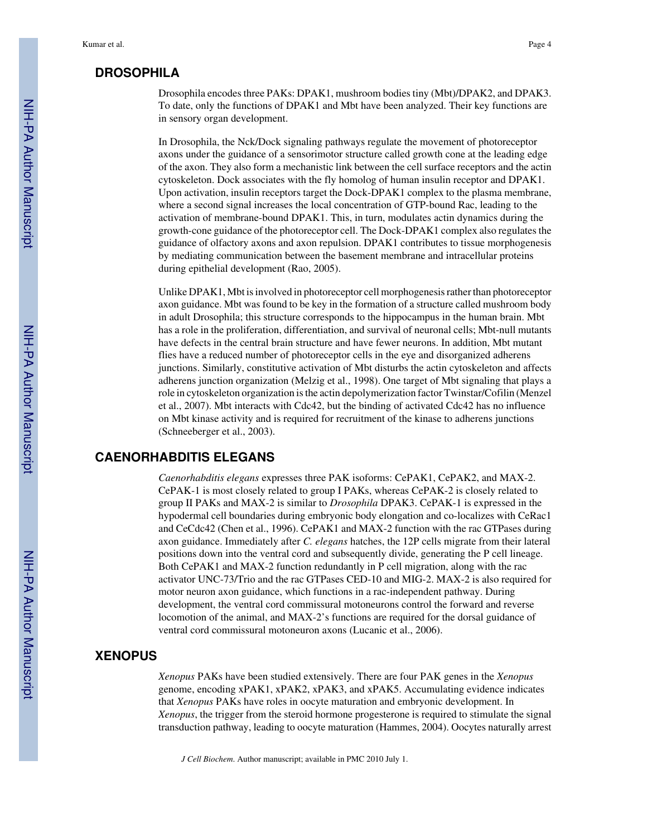#### **DROSOPHILA**

Drosophila encodes three PAKs: DPAK1, mushroom bodies tiny (Mbt)/DPAK2, and DPAK3. To date, only the functions of DPAK1 and Mbt have been analyzed. Their key functions are in sensory organ development.

In Drosophila, the Nck/Dock signaling pathways regulate the movement of photoreceptor axons under the guidance of a sensorimotor structure called growth cone at the leading edge of the axon. They also form a mechanistic link between the cell surface receptors and the actin cytoskeleton. Dock associates with the fly homolog of human insulin receptor and DPAK1. Upon activation, insulin receptors target the Dock-DPAK1 complex to the plasma membrane, where a second signal increases the local concentration of GTP-bound Rac, leading to the activation of membrane-bound DPAK1. This, in turn, modulates actin dynamics during the growth-cone guidance of the photoreceptor cell. The Dock-DPAK1 complex also regulates the guidance of olfactory axons and axon repulsion. DPAK1 contributes to tissue morphogenesis by mediating communication between the basement membrane and intracellular proteins during epithelial development (Rao, 2005).

Unlike DPAK1, Mbt is involved in photoreceptor cell morphogenesis rather than photoreceptor axon guidance. Mbt was found to be key in the formation of a structure called mushroom body in adult Drosophila; this structure corresponds to the hippocampus in the human brain. Mbt has a role in the proliferation, differentiation, and survival of neuronal cells; Mbt-null mutants have defects in the central brain structure and have fewer neurons. In addition, Mbt mutant flies have a reduced number of photoreceptor cells in the eye and disorganized adherens junctions. Similarly, constitutive activation of Mbt disturbs the actin cytoskeleton and affects adherens junction organization (Melzig et al., 1998). One target of Mbt signaling that plays a role in cytoskeleton organization is the actin depolymerization factor Twinstar/Cofilin (Menzel et al., 2007). Mbt interacts with Cdc42, but the binding of activated Cdc42 has no influence on Mbt kinase activity and is required for recruitment of the kinase to adherens junctions (Schneeberger et al., 2003).

#### **CAENORHABDITIS ELEGANS**

*Caenorhabditis elegans* expresses three PAK isoforms: CePAK1, CePAK2, and MAX-2. CePAK-1 is most closely related to group I PAKs, whereas CePAK-2 is closely related to group II PAKs and MAX-2 is similar to *Drosophila* DPAK3. CePAK-1 is expressed in the hypodermal cell boundaries during embryonic body elongation and co-localizes with CeRac1 and CeCdc42 (Chen et al., 1996). CePAK1 and MAX-2 function with the rac GTPases during axon guidance. Immediately after *C. elegans* hatches, the 12P cells migrate from their lateral positions down into the ventral cord and subsequently divide, generating the P cell lineage. Both CePAK1 and MAX-2 function redundantly in P cell migration, along with the rac activator UNC-73/Trio and the rac GTPases CED-10 and MIG-2. MAX-2 is also required for motor neuron axon guidance, which functions in a rac-independent pathway. During development, the ventral cord commissural motoneurons control the forward and reverse locomotion of the animal, and MAX-2's functions are required for the dorsal guidance of ventral cord commissural motoneuron axons (Lucanic et al., 2006).

### **XENOPUS**

*Xenopus* PAKs have been studied extensively. There are four PAK genes in the *Xenopus* genome, encoding xPAK1, xPAK2, xPAK3, and xPAK5. Accumulating evidence indicates that *Xenopus* PAKs have roles in oocyte maturation and embryonic development. In *Xenopus*, the trigger from the steroid hormone progesterone is required to stimulate the signal transduction pathway, leading to oocyte maturation (Hammes, 2004). Oocytes naturally arrest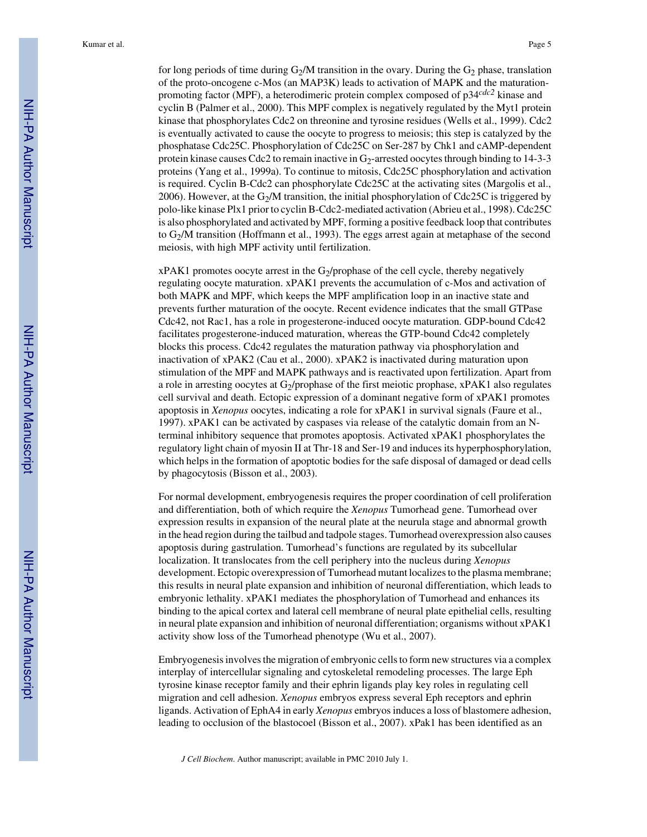for long periods of time during  $G_2/M$  transition in the ovary. During the  $G_2$  phase, translation of the proto-oncogene c-Mos (an MAP3K) leads to activation of MAPK and the maturationpromoting factor (MPF), a heterodimeric protein complex composed of p34*cdc2* kinase and cyclin B (Palmer et al., 2000). This MPF complex is negatively regulated by the Myt1 protein kinase that phosphorylates Cdc2 on threonine and tyrosine residues (Wells et al., 1999). Cdc2 is eventually activated to cause the oocyte to progress to meiosis; this step is catalyzed by the phosphatase Cdc25C. Phosphorylation of Cdc25C on Ser-287 by Chk1 and cAMP-dependent protein kinase causes Cdc2 to remain inactive in  $G<sub>2</sub>$ -arrested oocytes through binding to 14-3-3 proteins (Yang et al., 1999a). To continue to mitosis, Cdc25C phosphorylation and activation is required. Cyclin B-Cdc2 can phosphorylate Cdc25C at the activating sites (Margolis et al., 2006). However, at the  $G_2/M$  transition, the initial phosphorylation of Cdc25C is triggered by polo-like kinase Plx1 prior to cyclin B-Cdc2-mediated activation (Abrieu et al., 1998). Cdc25C is also phosphorylated and activated by MPF, forming a positive feedback loop that contributes to G2/M transition (Hoffmann et al., 1993). The eggs arrest again at metaphase of the second meiosis, with high MPF activity until fertilization.

 $xPAK1$  promotes oocyte arrest in the G<sub>2</sub>/prophase of the cell cycle, thereby negatively regulating oocyte maturation. xPAK1 prevents the accumulation of c-Mos and activation of both MAPK and MPF, which keeps the MPF amplification loop in an inactive state and prevents further maturation of the oocyte. Recent evidence indicates that the small GTPase Cdc42, not Rac1, has a role in progesterone-induced oocyte maturation. GDP-bound Cdc42 facilitates progesterone-induced maturation, whereas the GTP-bound Cdc42 completely blocks this process. Cdc42 regulates the maturation pathway via phosphorylation and inactivation of xPAK2 (Cau et al., 2000). xPAK2 is inactivated during maturation upon stimulation of the MPF and MAPK pathways and is reactivated upon fertilization. Apart from a role in arresting oocytes at  $G_2$ /prophase of the first meiotic prophase, xPAK1 also regulates cell survival and death. Ectopic expression of a dominant negative form of xPAK1 promotes apoptosis in *Xenopus* oocytes, indicating a role for xPAK1 in survival signals (Faure et al., 1997). xPAK1 can be activated by caspases via release of the catalytic domain from an Nterminal inhibitory sequence that promotes apoptosis. Activated xPAK1 phosphorylates the regulatory light chain of myosin II at Thr-18 and Ser-19 and induces its hyperphosphorylation, which helps in the formation of apoptotic bodies for the safe disposal of damaged or dead cells by phagocytosis (Bisson et al., 2003).

For normal development, embryogenesis requires the proper coordination of cell proliferation and differentiation, both of which require the *Xenopus* Tumorhead gene. Tumorhead over expression results in expansion of the neural plate at the neurula stage and abnormal growth in the head region during the tailbud and tadpole stages. Tumorhead overexpression also causes apoptosis during gastrulation. Tumorhead's functions are regulated by its subcellular localization. It translocates from the cell periphery into the nucleus during *Xenopus* development. Ectopic overexpression of Tumorhead mutant localizes to the plasma membrane; this results in neural plate expansion and inhibition of neuronal differentiation, which leads to embryonic lethality. xPAK1 mediates the phosphorylation of Tumorhead and enhances its binding to the apical cortex and lateral cell membrane of neural plate epithelial cells, resulting in neural plate expansion and inhibition of neuronal differentiation; organisms without xPAK1 activity show loss of the Tumorhead phenotype (Wu et al., 2007).

Embryogenesis involves the migration of embryonic cells to form new structures via a complex interplay of intercellular signaling and cytoskeletal remodeling processes. The large Eph tyrosine kinase receptor family and their ephrin ligands play key roles in regulating cell migration and cell adhesion. *Xenopus* embryos express several Eph receptors and ephrin ligands. Activation of EphA4 in early *Xenopus* embryos induces a loss of blastomere adhesion, leading to occlusion of the blastocoel (Bisson et al., 2007). xPak1 has been identified as an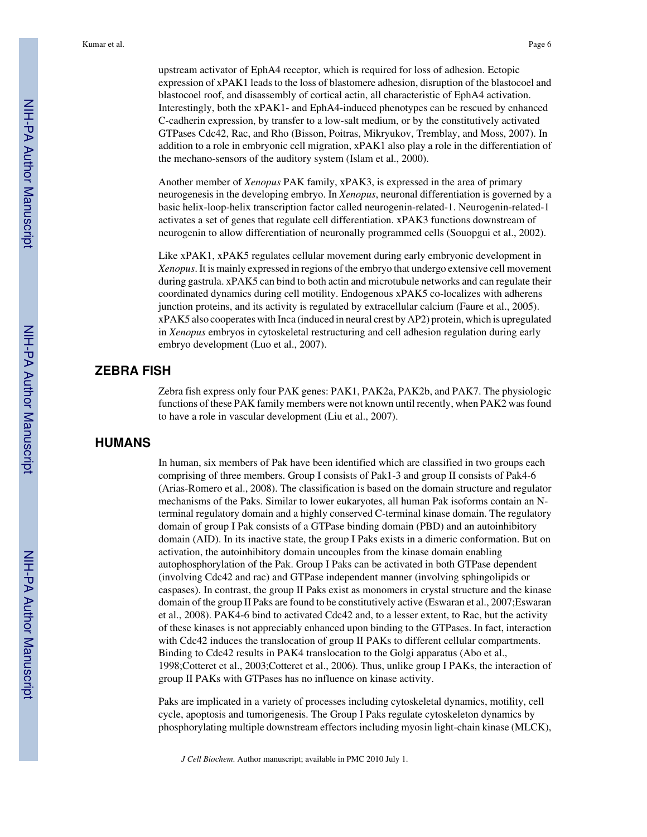upstream activator of EphA4 receptor, which is required for loss of adhesion. Ectopic expression of xPAK1 leads to the loss of blastomere adhesion, disruption of the blastocoel and blastocoel roof, and disassembly of cortical actin, all characteristic of EphA4 activation. Interestingly, both the xPAK1- and EphA4-induced phenotypes can be rescued by enhanced C-cadherin expression, by transfer to a low-salt medium, or by the constitutively activated GTPases Cdc42, Rac, and Rho (Bisson, Poitras, Mikryukov, Tremblay, and Moss, 2007). In addition to a role in embryonic cell migration, xPAK1 also play a role in the differentiation of the mechano-sensors of the auditory system (Islam et al., 2000).

Another member of *Xenopus* PAK family, xPAK3, is expressed in the area of primary neurogenesis in the developing embryo. In *Xenopus*, neuronal differentiation is governed by a basic helix-loop-helix transcription factor called neurogenin-related-1. Neurogenin-related-1 activates a set of genes that regulate cell differentiation. xPAK3 functions downstream of neurogenin to allow differentiation of neuronally programmed cells (Souopgui et al., 2002).

Like xPAK1, xPAK5 regulates cellular movement during early embryonic development in *Xenopus*. It is mainly expressed in regions of the embryo that undergo extensive cell movement during gastrula. xPAK5 can bind to both actin and microtubule networks and can regulate their coordinated dynamics during cell motility. Endogenous xPAK5 co-localizes with adherens junction proteins, and its activity is regulated by extracellular calcium (Faure et al., 2005). xPAK5 also cooperates with Inca (induced in neural crest by AP2) protein, which is upregulated in *Xenopus* embryos in cytoskeletal restructuring and cell adhesion regulation during early embryo development (Luo et al., 2007).

#### **ZEBRA FISH**

Zebra fish express only four PAK genes: PAK1, PAK2a, PAK2b, and PAK7. The physiologic functions of these PAK family members were not known until recently, when PAK2 was found to have a role in vascular development (Liu et al., 2007).

# **HUMANS**

In human, six members of Pak have been identified which are classified in two groups each comprising of three members. Group I consists of Pak1-3 and group II consists of Pak4-6 (Arias-Romero et al., 2008). The classification is based on the domain structure and regulator mechanisms of the Paks. Similar to lower eukaryotes, all human Pak isoforms contain an Nterminal regulatory domain and a highly conserved C-terminal kinase domain. The regulatory domain of group I Pak consists of a GTPase binding domain (PBD) and an autoinhibitory domain (AID). In its inactive state, the group I Paks exists in a dimeric conformation. But on activation, the autoinhibitory domain uncouples from the kinase domain enabling autophosphorylation of the Pak. Group I Paks can be activated in both GTPase dependent (involving Cdc42 and rac) and GTPase independent manner (involving sphingolipids or caspases). In contrast, the group II Paks exist as monomers in crystal structure and the kinase domain of the group II Paks are found to be constitutively active (Eswaran et al., 2007;Eswaran et al., 2008). PAK4-6 bind to activated Cdc42 and, to a lesser extent, to Rac, but the activity of these kinases is not appreciably enhanced upon binding to the GTPases. In fact, interaction with Cdc42 induces the translocation of group II PAKs to different cellular compartments. Binding to Cdc42 results in PAK4 translocation to the Golgi apparatus (Abo et al., 1998;Cotteret et al., 2003;Cotteret et al., 2006). Thus, unlike group I PAKs, the interaction of group II PAKs with GTPases has no influence on kinase activity.

Paks are implicated in a variety of processes including cytoskeletal dynamics, motility, cell cycle, apoptosis and tumorigenesis. The Group I Paks regulate cytoskeleton dynamics by phosphorylating multiple downstream effectors including myosin light-chain kinase (MLCK),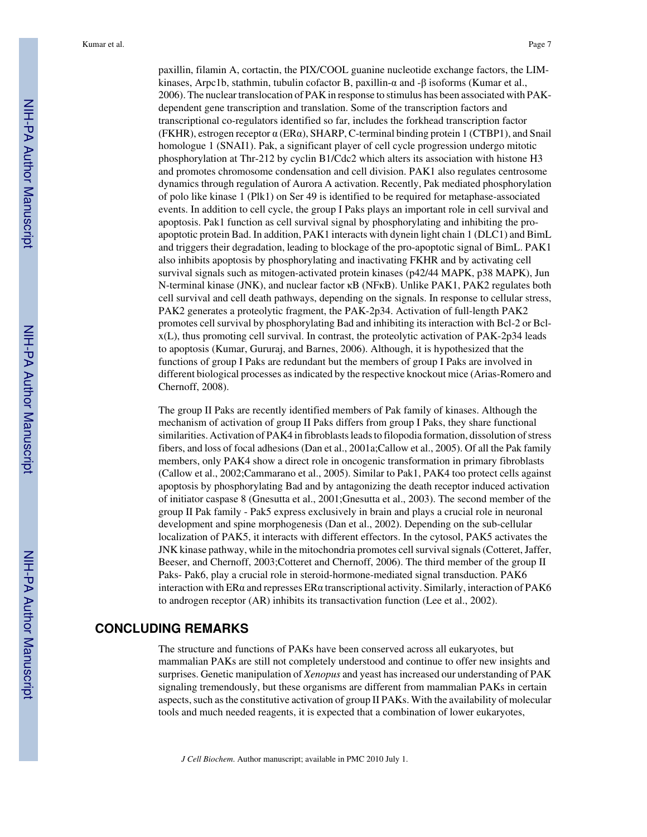Kumar et al. Page 7

paxillin, filamin A, cortactin, the PIX/COOL guanine nucleotide exchange factors, the LIMkinases, Arpc1b, stathmin, tubulin cofactor B, paxillin-α and -β isoforms (Kumar et al., 2006). The nuclear translocation of PAK in response to stimulus has been associated with PAKdependent gene transcription and translation. Some of the transcription factors and transcriptional co-regulators identified so far, includes the forkhead transcription factor (FKHR), estrogen receptor  $\alpha$  (ER $\alpha$ ), SHARP, C-terminal binding protein 1 (CTBP1), and Snail homologue 1 (SNAI1). Pak, a significant player of cell cycle progression undergo mitotic phosphorylation at Thr-212 by cyclin B1/Cdc2 which alters its association with histone H3 and promotes chromosome condensation and cell division. PAK1 also regulates centrosome dynamics through regulation of Aurora A activation. Recently, Pak mediated phosphorylation of polo like kinase 1 (Plk1) on Ser 49 is identified to be required for metaphase-associated events. In addition to cell cycle, the group I Paks plays an important role in cell survival and apoptosis. Pak1 function as cell survival signal by phosphorylating and inhibiting the proapoptotic protein Bad. In addition, PAK1 interacts with dynein light chain 1 (DLC1) and BimL and triggers their degradation, leading to blockage of the pro-apoptotic signal of BimL. PAK1 also inhibits apoptosis by phosphorylating and inactivating FKHR and by activating cell survival signals such as mitogen-activated protein kinases (p42/44 MAPK, p38 MAPK), Jun N-terminal kinase (JNK), and nuclear factor κB (NFκB). Unlike PAK1, PAK2 regulates both cell survival and cell death pathways, depending on the signals. In response to cellular stress, PAK2 generates a proteolytic fragment, the PAK-2p34. Activation of full-length PAK2 promotes cell survival by phosphorylating Bad and inhibiting its interaction with Bcl-2 or Bclx(L), thus promoting cell survival. In contrast, the proteolytic activation of PAK-2p34 leads to apoptosis (Kumar, Gururaj, and Barnes, 2006). Although, it is hypothesized that the functions of group I Paks are redundant but the members of group I Paks are involved in different biological processes as indicated by the respective knockout mice (Arias-Romero and Chernoff, 2008).

The group II Paks are recently identified members of Pak family of kinases. Although the mechanism of activation of group II Paks differs from group I Paks, they share functional similarities. Activation of PAK4 in fibroblasts leads to filopodia formation, dissolution of stress fibers, and loss of focal adhesions (Dan et al., 2001a;Callow et al., 2005). Of all the Pak family members, only PAK4 show a direct role in oncogenic transformation in primary fibroblasts (Callow et al., 2002;Cammarano et al., 2005). Similar to Pak1, PAK4 too protect cells against apoptosis by phosphorylating Bad and by antagonizing the death receptor induced activation of initiator caspase 8 (Gnesutta et al., 2001;Gnesutta et al., 2003). The second member of the group II Pak family - Pak5 express exclusively in brain and plays a crucial role in neuronal development and spine morphogenesis (Dan et al., 2002). Depending on the sub-cellular localization of PAK5, it interacts with different effectors. In the cytosol, PAK5 activates the JNK kinase pathway, while in the mitochondria promotes cell survival signals (Cotteret, Jaffer, Beeser, and Chernoff, 2003;Cotteret and Chernoff, 2006). The third member of the group II Paks- Pak6, play a crucial role in steroid-hormone-mediated signal transduction. PAK6 interaction with ER $\alpha$  and represses ER $\alpha$  transcriptional activity. Similarly, interaction of PAK6 to androgen receptor (AR) inhibits its transactivation function (Lee et al., 2002).

### **CONCLUDING REMARKS**

The structure and functions of PAKs have been conserved across all eukaryotes, but mammalian PAKs are still not completely understood and continue to offer new insights and surprises. Genetic manipulation of *Xenopus* and yeast has increased our understanding of PAK signaling tremendously, but these organisms are different from mammalian PAKs in certain aspects, such as the constitutive activation of group II PAKs. With the availability of molecular tools and much needed reagents, it is expected that a combination of lower eukaryotes,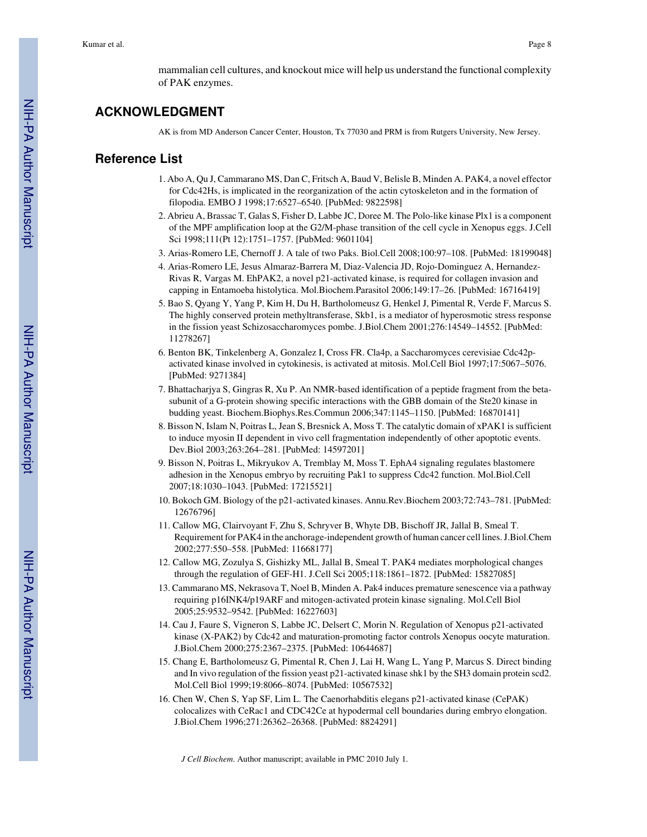mammalian cell cultures, and knockout mice will help us understand the functional complexity of PAK enzymes.

# **ACKNOWLEDGMENT**

AK is from MD Anderson Cancer Center, Houston, Tx 77030 and PRM is from Rutgers University, New Jersey.

#### **Reference List**

- 1. Abo A, Qu J, Cammarano MS, Dan C, Fritsch A, Baud V, Belisle B, Minden A. PAK4, a novel effector for Cdc42Hs, is implicated in the reorganization of the actin cytoskeleton and in the formation of filopodia. EMBO J 1998;17:6527–6540. [PubMed: 9822598]
- 2. Abrieu A, Brassac T, Galas S, Fisher D, Labbe JC, Doree M. The Polo-like kinase Plx1 is a component of the MPF amplification loop at the G2/M-phase transition of the cell cycle in Xenopus eggs. J.Cell Sci 1998;111(Pt 12):1751–1757. [PubMed: 9601104]
- 3. Arias-Romero LE, Chernoff J. A tale of two Paks. Biol.Cell 2008;100:97–108. [PubMed: 18199048]
- 4. Arias-Romero LE, Jesus Almaraz-Barrera M, Diaz-Valencia JD, Rojo-Dominguez A, Hernandez-Rivas R, Vargas M. EhPAK2, a novel p21-activated kinase, is required for collagen invasion and capping in Entamoeba histolytica. Mol.Biochem.Parasitol 2006;149:17–26. [PubMed: 16716419]
- 5. Bao S, Qyang Y, Yang P, Kim H, Du H, Bartholomeusz G, Henkel J, Pimental R, Verde F, Marcus S. The highly conserved protein methyltransferase, Skb1, is a mediator of hyperosmotic stress response in the fission yeast Schizosaccharomyces pombe. J.Biol.Chem 2001;276:14549–14552. [PubMed: 11278267]
- 6. Benton BK, Tinkelenberg A, Gonzalez I, Cross FR. Cla4p, a Saccharomyces cerevisiae Cdc42pactivated kinase involved in cytokinesis, is activated at mitosis. Mol.Cell Biol 1997;17:5067–5076. [PubMed: 9271384]
- 7. Bhattacharjya S, Gingras R, Xu P. An NMR-based identification of a peptide fragment from the betasubunit of a G-protein showing specific interactions with the GBB domain of the Ste20 kinase in budding yeast. Biochem.Biophys.Res.Commun 2006;347:1145–1150. [PubMed: 16870141]
- 8. Bisson N, Islam N, Poitras L, Jean S, Bresnick A, Moss T. The catalytic domain of xPAK1 is sufficient to induce myosin II dependent in vivo cell fragmentation independently of other apoptotic events. Dev.Biol 2003;263:264–281. [PubMed: 14597201]
- 9. Bisson N, Poitras L, Mikryukov A, Tremblay M, Moss T. EphA4 signaling regulates blastomere adhesion in the Xenopus embryo by recruiting Pak1 to suppress Cdc42 function. Mol.Biol.Cell 2007;18:1030–1043. [PubMed: 17215521]
- 10. Bokoch GM. Biology of the p21-activated kinases. Annu.Rev.Biochem 2003;72:743–781. [PubMed: 12676796]
- 11. Callow MG, Clairvoyant F, Zhu S, Schryver B, Whyte DB, Bischoff JR, Jallal B, Smeal T. Requirement for PAK4 in the anchorage-independent growth of human cancer cell lines. J.Biol.Chem 2002;277:550–558. [PubMed: 11668177]
- 12. Callow MG, Zozulya S, Gishizky ML, Jallal B, Smeal T. PAK4 mediates morphological changes through the regulation of GEF-H1. J.Cell Sci 2005;118:1861–1872. [PubMed: 15827085]
- 13. Cammarano MS, Nekrasova T, Noel B, Minden A. Pak4 induces premature senescence via a pathway requiring p16INK4/p19ARF and mitogen-activated protein kinase signaling. Mol.Cell Biol 2005;25:9532–9542. [PubMed: 16227603]
- 14. Cau J, Faure S, Vigneron S, Labbe JC, Delsert C, Morin N. Regulation of Xenopus p21-activated kinase (X-PAK2) by Cdc42 and maturation-promoting factor controls Xenopus oocyte maturation. J.Biol.Chem 2000;275:2367–2375. [PubMed: 10644687]
- 15. Chang E, Bartholomeusz G, Pimental R, Chen J, Lai H, Wang L, Yang P, Marcus S. Direct binding and In vivo regulation of the fission yeast p21-activated kinase shk1 by the SH3 domain protein scd2. Mol.Cell Biol 1999;19:8066–8074. [PubMed: 10567532]
- 16. Chen W, Chen S, Yap SF, Lim L. The Caenorhabditis elegans p21-activated kinase (CePAK) colocalizes with CeRac1 and CDC42Ce at hypodermal cell boundaries during embryo elongation. J.Biol.Chem 1996;271:26362–26368. [PubMed: 8824291]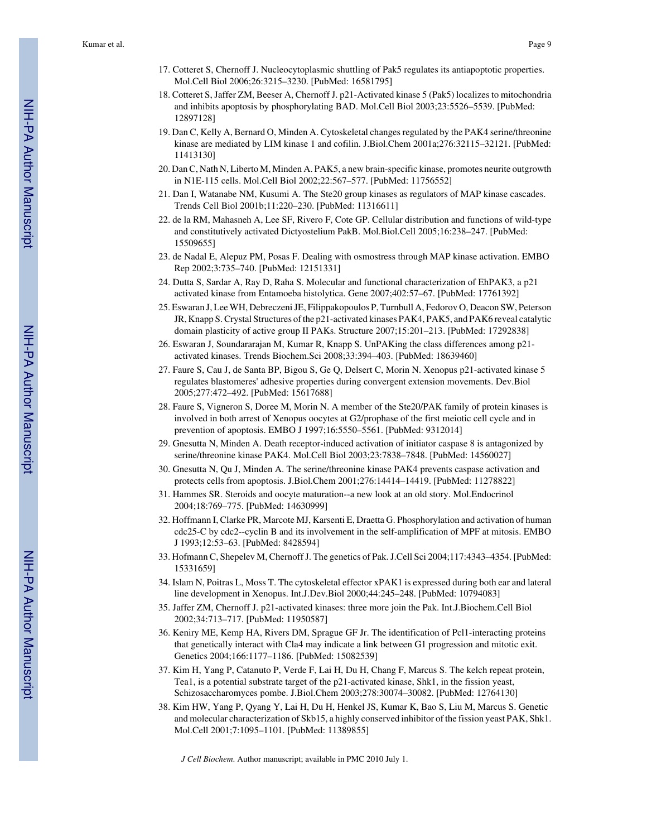- 17. Cotteret S, Chernoff J. Nucleocytoplasmic shuttling of Pak5 regulates its antiapoptotic properties. Mol.Cell Biol 2006;26:3215–3230. [PubMed: 16581795]
- 18. Cotteret S, Jaffer ZM, Beeser A, Chernoff J. p21-Activated kinase 5 (Pak5) localizes to mitochondria and inhibits apoptosis by phosphorylating BAD. Mol.Cell Biol 2003;23:5526–5539. [PubMed: 12897128]
- 19. Dan C, Kelly A, Bernard O, Minden A. Cytoskeletal changes regulated by the PAK4 serine/threonine kinase are mediated by LIM kinase 1 and cofilin. J.Biol.Chem 2001a;276:32115–32121. [PubMed: 11413130]
- 20. Dan C, Nath N, Liberto M, Minden A. PAK5, a new brain-specific kinase, promotes neurite outgrowth in N1E-115 cells. Mol.Cell Biol 2002;22:567–577. [PubMed: 11756552]
- 21. Dan I, Watanabe NM, Kusumi A. The Ste20 group kinases as regulators of MAP kinase cascades. Trends Cell Biol 2001b;11:220–230. [PubMed: 11316611]
- 22. de la RM, Mahasneh A, Lee SF, Rivero F, Cote GP. Cellular distribution and functions of wild-type and constitutively activated Dictyostelium PakB. Mol.Biol.Cell 2005;16:238–247. [PubMed: 15509655]
- 23. de Nadal E, Alepuz PM, Posas F. Dealing with osmostress through MAP kinase activation. EMBO Rep 2002;3:735–740. [PubMed: 12151331]
- 24. Dutta S, Sardar A, Ray D, Raha S. Molecular and functional characterization of EhPAK3, a p21 activated kinase from Entamoeba histolytica. Gene 2007;402:57–67. [PubMed: 17761392]
- 25. Eswaran J, Lee WH, Debreczeni JE, Filippakopoulos P, Turnbull A, Fedorov O, Deacon SW, Peterson JR, Knapp S. Crystal Structures of the p21-activated kinases PAK4, PAK5, and PAK6 reveal catalytic domain plasticity of active group II PAKs. Structure 2007;15:201–213. [PubMed: 17292838]
- 26. Eswaran J, Soundararajan M, Kumar R, Knapp S. UnPAKing the class differences among p21 activated kinases. Trends Biochem.Sci 2008;33:394–403. [PubMed: 18639460]
- 27. Faure S, Cau J, de Santa BP, Bigou S, Ge Q, Delsert C, Morin N. Xenopus p21-activated kinase 5 regulates blastomeres' adhesive properties during convergent extension movements. Dev.Biol 2005;277:472–492. [PubMed: 15617688]
- 28. Faure S, Vigneron S, Doree M, Morin N. A member of the Ste20/PAK family of protein kinases is involved in both arrest of Xenopus oocytes at G2/prophase of the first meiotic cell cycle and in prevention of apoptosis. EMBO J 1997;16:5550–5561. [PubMed: 9312014]
- 29. Gnesutta N, Minden A. Death receptor-induced activation of initiator caspase 8 is antagonized by serine/threonine kinase PAK4. Mol.Cell Biol 2003;23:7838–7848. [PubMed: 14560027]
- 30. Gnesutta N, Qu J, Minden A. The serine/threonine kinase PAK4 prevents caspase activation and protects cells from apoptosis. J.Biol.Chem 2001;276:14414–14419. [PubMed: 11278822]
- 31. Hammes SR. Steroids and oocyte maturation--a new look at an old story. Mol.Endocrinol 2004;18:769–775. [PubMed: 14630999]
- 32. Hoffmann I, Clarke PR, Marcote MJ, Karsenti E, Draetta G. Phosphorylation and activation of human cdc25-C by cdc2--cyclin B and its involvement in the self-amplification of MPF at mitosis. EMBO J 1993;12:53–63. [PubMed: 8428594]
- 33. Hofmann C, Shepelev M, Chernoff J. The genetics of Pak. J.Cell Sci 2004;117:4343–4354. [PubMed: 15331659]
- 34. Islam N, Poitras L, Moss T. The cytoskeletal effector xPAK1 is expressed during both ear and lateral line development in Xenopus. Int.J.Dev.Biol 2000;44:245–248. [PubMed: 10794083]
- 35. Jaffer ZM, Chernoff J. p21-activated kinases: three more join the Pak. Int.J.Biochem.Cell Biol 2002;34:713–717. [PubMed: 11950587]
- 36. Keniry ME, Kemp HA, Rivers DM, Sprague GF Jr. The identification of Pcl1-interacting proteins that genetically interact with Cla4 may indicate a link between G1 progression and mitotic exit. Genetics 2004;166:1177–1186. [PubMed: 15082539]
- 37. Kim H, Yang P, Catanuto P, Verde F, Lai H, Du H, Chang F, Marcus S. The kelch repeat protein, Tea1, is a potential substrate target of the p21-activated kinase, Shk1, in the fission yeast, Schizosaccharomyces pombe. J.Biol.Chem 2003;278:30074–30082. [PubMed: 12764130]
- 38. Kim HW, Yang P, Qyang Y, Lai H, Du H, Henkel JS, Kumar K, Bao S, Liu M, Marcus S. Genetic and molecular characterization of Skb15, a highly conserved inhibitor of the fission yeast PAK, Shk1. Mol.Cell 2001;7:1095–1101. [PubMed: 11389855]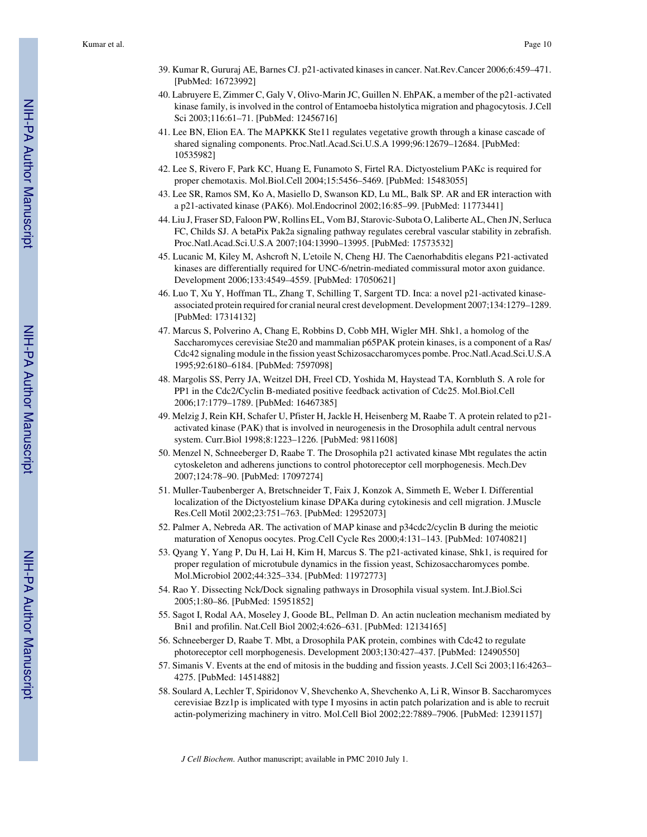- 39. Kumar R, Gururaj AE, Barnes CJ. p21-activated kinases in cancer. Nat.Rev.Cancer 2006;6:459–471. [PubMed: 16723992]
- 40. Labruyere E, Zimmer C, Galy V, Olivo-Marin JC, Guillen N. EhPAK, a member of the p21-activated kinase family, is involved in the control of Entamoeba histolytica migration and phagocytosis. J.Cell Sci 2003;116:61–71. [PubMed: 12456716]
- 41. Lee BN, Elion EA. The MAPKKK Ste11 regulates vegetative growth through a kinase cascade of shared signaling components. Proc.Natl.Acad.Sci.U.S.A 1999;96:12679–12684. [PubMed: 10535982]
- 42. Lee S, Rivero F, Park KC, Huang E, Funamoto S, Firtel RA. Dictyostelium PAKc is required for proper chemotaxis. Mol.Biol.Cell 2004;15:5456–5469. [PubMed: 15483055]
- 43. Lee SR, Ramos SM, Ko A, Masiello D, Swanson KD, Lu ML, Balk SP. AR and ER interaction with a p21-activated kinase (PAK6). Mol.Endocrinol 2002;16:85–99. [PubMed: 11773441]
- 44. Liu J, Fraser SD, Faloon PW, Rollins EL, Vom BJ, Starovic-Subota O, Laliberte AL, Chen JN, Serluca FC, Childs SJ. A betaPix Pak2a signaling pathway regulates cerebral vascular stability in zebrafish. Proc.Natl.Acad.Sci.U.S.A 2007;104:13990–13995. [PubMed: 17573532]
- 45. Lucanic M, Kiley M, Ashcroft N, L'etoile N, Cheng HJ. The Caenorhabditis elegans P21-activated kinases are differentially required for UNC-6/netrin-mediated commissural motor axon guidance. Development 2006;133:4549–4559. [PubMed: 17050621]
- 46. Luo T, Xu Y, Hoffman TL, Zhang T, Schilling T, Sargent TD. Inca: a novel p21-activated kinaseassociated protein required for cranial neural crest development. Development 2007;134:1279–1289. [PubMed: 17314132]
- 47. Marcus S, Polverino A, Chang E, Robbins D, Cobb MH, Wigler MH. Shk1, a homolog of the Saccharomyces cerevisiae Ste20 and mammalian p65PAK protein kinases, is a component of a Ras/ Cdc42 signaling module in the fission yeast Schizosaccharomyces pombe. Proc.Natl.Acad.Sci.U.S.A 1995;92:6180–6184. [PubMed: 7597098]
- 48. Margolis SS, Perry JA, Weitzel DH, Freel CD, Yoshida M, Haystead TA, Kornbluth S. A role for PP1 in the Cdc2/Cyclin B-mediated positive feedback activation of Cdc25. Mol.Biol.Cell 2006;17:1779–1789. [PubMed: 16467385]
- 49. Melzig J, Rein KH, Schafer U, Pfister H, Jackle H, Heisenberg M, Raabe T. A protein related to p21 activated kinase (PAK) that is involved in neurogenesis in the Drosophila adult central nervous system. Curr.Biol 1998;8:1223–1226. [PubMed: 9811608]
- 50. Menzel N, Schneeberger D, Raabe T. The Drosophila p21 activated kinase Mbt regulates the actin cytoskeleton and adherens junctions to control photoreceptor cell morphogenesis. Mech.Dev 2007;124:78–90. [PubMed: 17097274]
- 51. Muller-Taubenberger A, Bretschneider T, Faix J, Konzok A, Simmeth E, Weber I. Differential localization of the Dictyostelium kinase DPAKa during cytokinesis and cell migration. J.Muscle Res.Cell Motil 2002;23:751–763. [PubMed: 12952073]
- 52. Palmer A, Nebreda AR. The activation of MAP kinase and p34cdc2/cyclin B during the meiotic maturation of Xenopus oocytes. Prog.Cell Cycle Res 2000;4:131–143. [PubMed: 10740821]
- 53. Qyang Y, Yang P, Du H, Lai H, Kim H, Marcus S. The p21-activated kinase, Shk1, is required for proper regulation of microtubule dynamics in the fission yeast, Schizosaccharomyces pombe. Mol.Microbiol 2002;44:325–334. [PubMed: 11972773]
- 54. Rao Y. Dissecting Nck/Dock signaling pathways in Drosophila visual system. Int.J.Biol.Sci 2005;1:80–86. [PubMed: 15951852]
- 55. Sagot I, Rodal AA, Moseley J, Goode BL, Pellman D. An actin nucleation mechanism mediated by Bni1 and profilin. Nat.Cell Biol 2002;4:626–631. [PubMed: 12134165]
- 56. Schneeberger D, Raabe T. Mbt, a Drosophila PAK protein, combines with Cdc42 to regulate photoreceptor cell morphogenesis. Development 2003;130:427–437. [PubMed: 12490550]
- 57. Simanis V. Events at the end of mitosis in the budding and fission yeasts. J.Cell Sci 2003;116:4263– 4275. [PubMed: 14514882]
- 58. Soulard A, Lechler T, Spiridonov V, Shevchenko A, Shevchenko A, Li R, Winsor B. Saccharomyces cerevisiae Bzz1p is implicated with type I myosins in actin patch polarization and is able to recruit actin-polymerizing machinery in vitro. Mol.Cell Biol 2002;22:7889–7906. [PubMed: 12391157]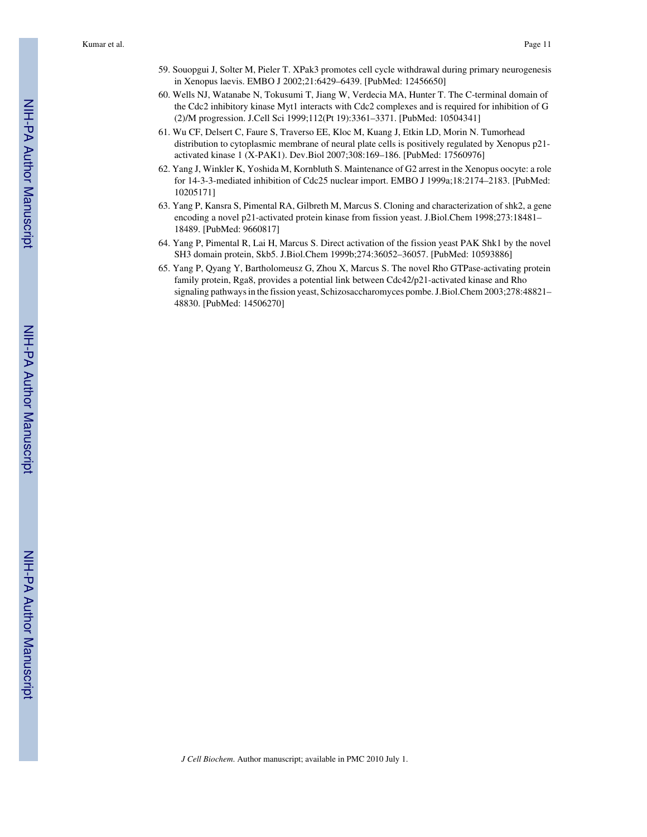- 59. Souopgui J, Solter M, Pieler T. XPak3 promotes cell cycle withdrawal during primary neurogenesis in Xenopus laevis. EMBO J 2002;21:6429–6439. [PubMed: 12456650]
- 60. Wells NJ, Watanabe N, Tokusumi T, Jiang W, Verdecia MA, Hunter T. The C-terminal domain of the Cdc2 inhibitory kinase Myt1 interacts with Cdc2 complexes and is required for inhibition of G (2)/M progression. J.Cell Sci 1999;112(Pt 19):3361–3371. [PubMed: 10504341]
- 61. Wu CF, Delsert C, Faure S, Traverso EE, Kloc M, Kuang J, Etkin LD, Morin N. Tumorhead distribution to cytoplasmic membrane of neural plate cells is positively regulated by Xenopus p21 activated kinase 1 (X-PAK1). Dev.Biol 2007;308:169–186. [PubMed: 17560976]
- 62. Yang J, Winkler K, Yoshida M, Kornbluth S. Maintenance of G2 arrest in the Xenopus oocyte: a role for 14-3-3-mediated inhibition of Cdc25 nuclear import. EMBO J 1999a;18:2174–2183. [PubMed: 10205171]
- 63. Yang P, Kansra S, Pimental RA, Gilbreth M, Marcus S. Cloning and characterization of shk2, a gene encoding a novel p21-activated protein kinase from fission yeast. J.Biol.Chem 1998;273:18481– 18489. [PubMed: 9660817]
- 64. Yang P, Pimental R, Lai H, Marcus S. Direct activation of the fission yeast PAK Shk1 by the novel SH3 domain protein, Skb5. J.Biol.Chem 1999b;274:36052–36057. [PubMed: 10593886]
- 65. Yang P, Qyang Y, Bartholomeusz G, Zhou X, Marcus S. The novel Rho GTPase-activating protein family protein, Rga8, provides a potential link between Cdc42/p21-activated kinase and Rho signaling pathways in the fission yeast, Schizosaccharomyces pombe. J.Biol.Chem 2003;278:48821– 48830. [PubMed: 14506270]